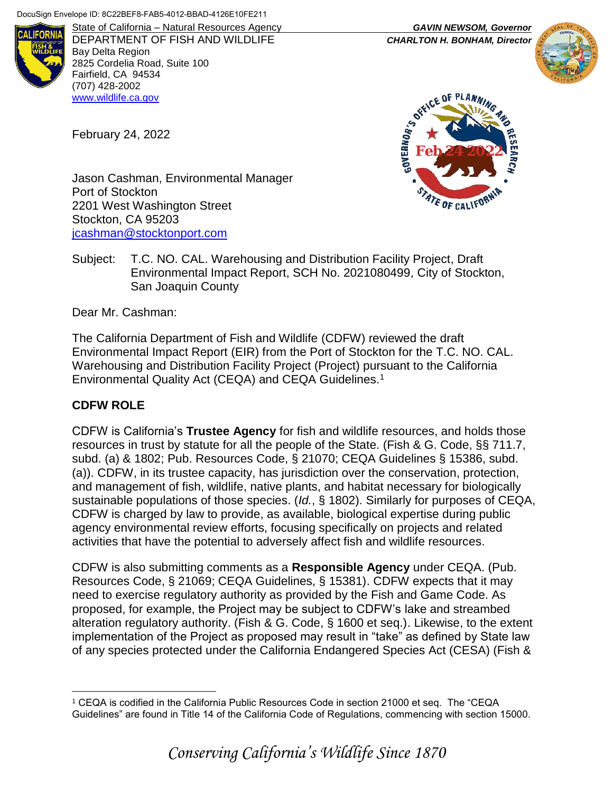

DEPARTMENT OF FISH AND WILDLIFE *CHARLTON H. BONHAM, Director* Bay Delta Region 2825 Cordelia Road, Suite 100 Fairfield, CA 94534 (707) 428-2002 [www.wildlife.ca.gov](http://www.wildlife.ca.gov/)

February 24, 2022

State of California – Natural Resources Agency *GAVIN NEWSOM, Governor*





Jason Cashman, Environmental Manager Port of Stockton 2201 West Washington Street Stockton, CA 95203 [jcashman@stocktonport.com](mailto:jcashman@stocktonport.com)

Subject: T.C. NO. CAL. Warehousing and Distribution Facility Project, Draft Environmental Impact Report, SCH No. 2021080499, City of Stockton, San Joaquin County

Dear Mr. Cashman:

The California Department of Fish and Wildlife (CDFW) reviewed the draft Environmental Impact Report (EIR) from the Port of Stockton for the T.C. NO. CAL. Warehousing and Distribution Facility Project (Project) pursuant to the California Environmental Quality Act (CEQA) and CEQA Guidelines.<sup>1</sup>

# **CDFW ROLE**

CDFW is California's **Trustee Agency** for fish and wildlife resources, and holds those resources in trust by statute for all the people of the State. (Fish & G. Code, §§ 711.7, subd. (a) & 1802; Pub. Resources Code, § 21070; CEQA Guidelines § 15386, subd. (a)). CDFW, in its trustee capacity, has jurisdiction over the conservation, protection, and management of fish, wildlife, native plants, and habitat necessary for biologically sustainable populations of those species. (*Id.*, § 1802). Similarly for purposes of CEQA, CDFW is charged by law to provide, as available, biological expertise during public agency environmental review efforts, focusing specifically on projects and related activities that have the potential to adversely affect fish and wildlife resources.

CDFW is also submitting comments as a **Responsible Agency** under CEQA. (Pub. Resources Code, § 21069; CEQA Guidelines, § 15381). CDFW expects that it may need to exercise regulatory authority as provided by the Fish and Game Code. As proposed, for example, the Project may be subject to CDFW's lake and streambed alteration regulatory authority. (Fish & G. Code, § 1600 et seq.). Likewise, to the extent implementation of the Project as proposed may result in "take" as defined by State law of any species protected under the California Endangered Species Act (CESA) (Fish &

 $\overline{a}$ <sup>1</sup> CEQA is codified in the California Public Resources Code in section 21000 et seq. The "CEQA Guidelines" are found in Title 14 of the California Code of Regulations, commencing with section 15000.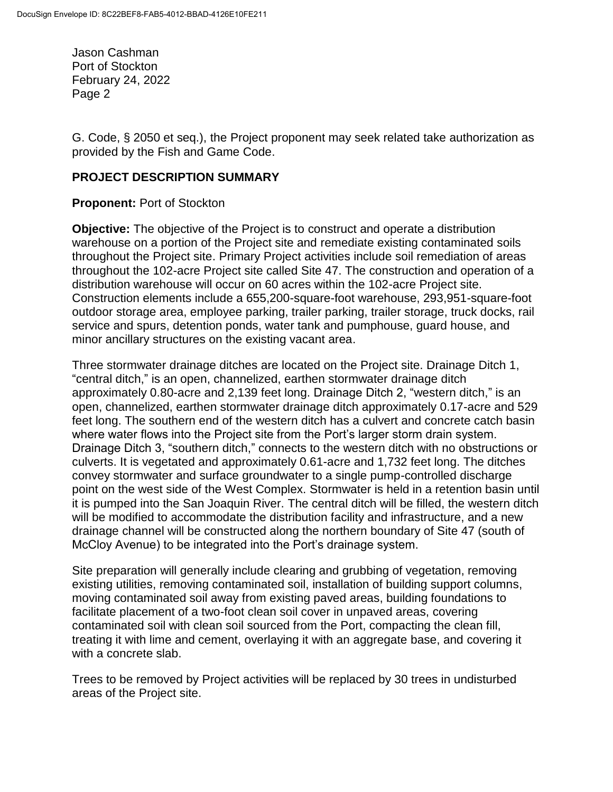G. Code, § 2050 et seq.), the Project proponent may seek related take authorization as provided by the Fish and Game Code.

#### **PROJECT DESCRIPTION SUMMARY**

#### **Proponent:** Port of Stockton

**Objective:** The objective of the Project is to construct and operate a distribution warehouse on a portion of the Project site and remediate existing contaminated soils throughout the Project site. Primary Project activities include soil remediation of areas throughout the 102-acre Project site called Site 47. The construction and operation of a distribution warehouse will occur on 60 acres within the 102-acre Project site. Construction elements include a 655,200-square-foot warehouse, 293,951-square-foot outdoor storage area, employee parking, trailer parking, trailer storage, truck docks, rail service and spurs, detention ponds, water tank and pumphouse, guard house, and minor ancillary structures on the existing vacant area.

Three stormwater drainage ditches are located on the Project site. Drainage Ditch 1, "central ditch," is an open, channelized, earthen stormwater drainage ditch approximately 0.80-acre and 2,139 feet long. Drainage Ditch 2, "western ditch," is an open, channelized, earthen stormwater drainage ditch approximately 0.17-acre and 529 feet long. The southern end of the western ditch has a culvert and concrete catch basin where water flows into the Project site from the Port's larger storm drain system. Drainage Ditch 3, "southern ditch," connects to the western ditch with no obstructions or culverts. It is vegetated and approximately 0.61-acre and 1,732 feet long. The ditches convey stormwater and surface groundwater to a single pump-controlled discharge point on the west side of the West Complex. Stormwater is held in a retention basin until it is pumped into the San Joaquin River. The central ditch will be filled, the western ditch will be modified to accommodate the distribution facility and infrastructure, and a new drainage channel will be constructed along the northern boundary of Site 47 (south of McCloy Avenue) to be integrated into the Port's drainage system.

Site preparation will generally include clearing and grubbing of vegetation, removing existing utilities, removing contaminated soil, installation of building support columns, moving contaminated soil away from existing paved areas, building foundations to facilitate placement of a two-foot clean soil cover in unpaved areas, covering contaminated soil with clean soil sourced from the Port, compacting the clean fill, treating it with lime and cement, overlaying it with an aggregate base, and covering it with a concrete slab.

Trees to be removed by Project activities will be replaced by 30 trees in undisturbed areas of the Project site.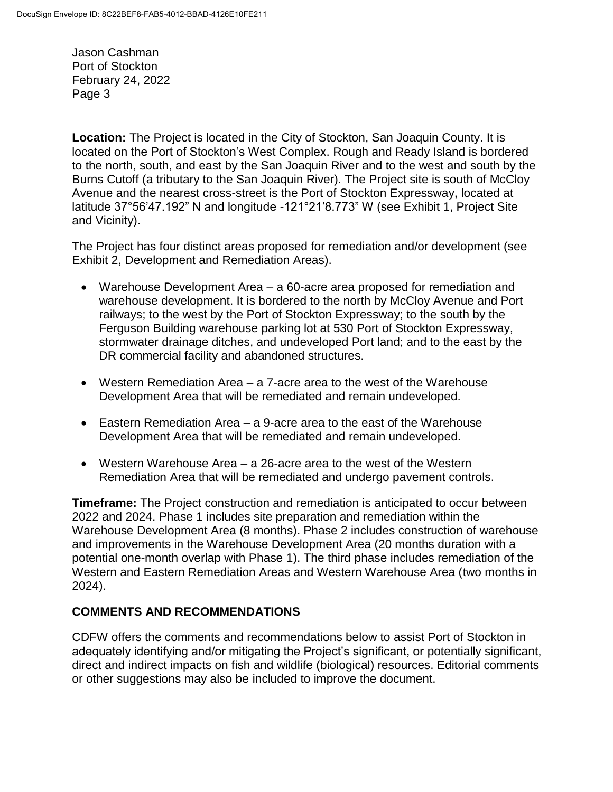**Location:** The Project is located in the City of Stockton, San Joaquin County. It is located on the Port of Stockton's West Complex. Rough and Ready Island is bordered to the north, south, and east by the San Joaquin River and to the west and south by the Burns Cutoff (a tributary to the San Joaquin River). The Project site is south of McCloy Avenue and the nearest cross-street is the Port of Stockton Expressway, located at latitude 37°56'47.192" N and longitude -121°21'8.773" W (see Exhibit 1, Project Site and Vicinity).

The Project has four distinct areas proposed for remediation and/or development (see Exhibit 2, Development and Remediation Areas).

- Warehouse Development Area a 60-acre area proposed for remediation and warehouse development. It is bordered to the north by McCloy Avenue and Port railways; to the west by the Port of Stockton Expressway; to the south by the Ferguson Building warehouse parking lot at 530 Port of Stockton Expressway, stormwater drainage ditches, and undeveloped Port land; and to the east by the DR commercial facility and abandoned structures.
- Western Remediation Area a 7-acre area to the west of the Warehouse Development Area that will be remediated and remain undeveloped.
- Eastern Remediation Area a 9-acre area to the east of the Warehouse Development Area that will be remediated and remain undeveloped.
- Western Warehouse Area a 26-acre area to the west of the Western Remediation Area that will be remediated and undergo pavement controls.

**Timeframe:** The Project construction and remediation is anticipated to occur between 2022 and 2024. Phase 1 includes site preparation and remediation within the Warehouse Development Area (8 months). Phase 2 includes construction of warehouse and improvements in the Warehouse Development Area (20 months duration with a potential one-month overlap with Phase 1). The third phase includes remediation of the Western and Eastern Remediation Areas and Western Warehouse Area (two months in 2024).

## **COMMENTS AND RECOMMENDATIONS**

CDFW offers the comments and recommendations below to assist Port of Stockton in adequately identifying and/or mitigating the Project's significant, or potentially significant, direct and indirect impacts on fish and wildlife (biological) resources. Editorial comments or other suggestions may also be included to improve the document.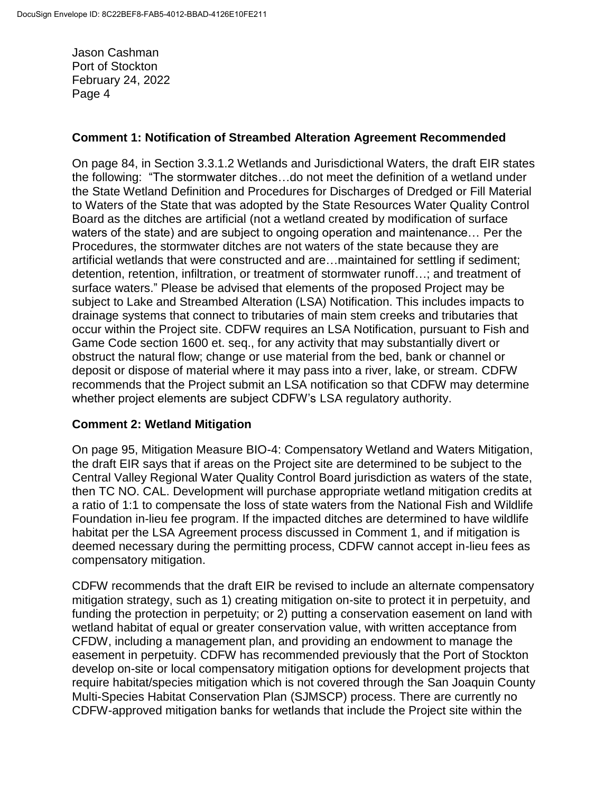#### **Comment 1: Notification of Streambed Alteration Agreement Recommended**

On page 84, in Section 3.3.1.2 Wetlands and Jurisdictional Waters, the draft EIR states the following: "The stormwater ditches…do not meet the definition of a wetland under the State Wetland Definition and Procedures for Discharges of Dredged or Fill Material to Waters of the State that was adopted by the State Resources Water Quality Control Board as the ditches are artificial (not a wetland created by modification of surface waters of the state) and are subject to ongoing operation and maintenance… Per the Procedures, the stormwater ditches are not waters of the state because they are artificial wetlands that were constructed and are…maintained for settling if sediment; detention, retention, infiltration, or treatment of stormwater runoff…; and treatment of surface waters." Please be advised that elements of the proposed Project may be subject to Lake and Streambed Alteration (LSA) Notification. This includes impacts to drainage systems that connect to tributaries of main stem creeks and tributaries that occur within the Project site. CDFW requires an LSA Notification, pursuant to Fish and Game Code section 1600 et. seq., for any activity that may substantially divert or obstruct the natural flow; change or use material from the bed, bank or channel or deposit or dispose of material where it may pass into a river, lake, or stream. CDFW recommends that the Project submit an LSA notification so that CDFW may determine whether project elements are subject CDFW's LSA regulatory authority.

#### **Comment 2: Wetland Mitigation**

On page 95, Mitigation Measure BIO-4: Compensatory Wetland and Waters Mitigation, the draft EIR says that if areas on the Project site are determined to be subject to the Central Valley Regional Water Quality Control Board jurisdiction as waters of the state, then TC NO. CAL. Development will purchase appropriate wetland mitigation credits at a ratio of 1:1 to compensate the loss of state waters from the National Fish and Wildlife Foundation in-lieu fee program. If the impacted ditches are determined to have wildlife habitat per the LSA Agreement process discussed in Comment 1, and if mitigation is deemed necessary during the permitting process, CDFW cannot accept in-lieu fees as compensatory mitigation.

CDFW recommends that the draft EIR be revised to include an alternate compensatory mitigation strategy, such as 1) creating mitigation on-site to protect it in perpetuity, and funding the protection in perpetuity; or 2) putting a conservation easement on land with wetland habitat of equal or greater conservation value, with written acceptance from CFDW, including a management plan, and providing an endowment to manage the easement in perpetuity. CDFW has recommended previously that the Port of Stockton develop on-site or local compensatory mitigation options for development projects that require habitat/species mitigation which is not covered through the San Joaquin County Multi-Species Habitat Conservation Plan (SJMSCP) process. There are currently no CDFW-approved mitigation banks for wetlands that include the Project site within the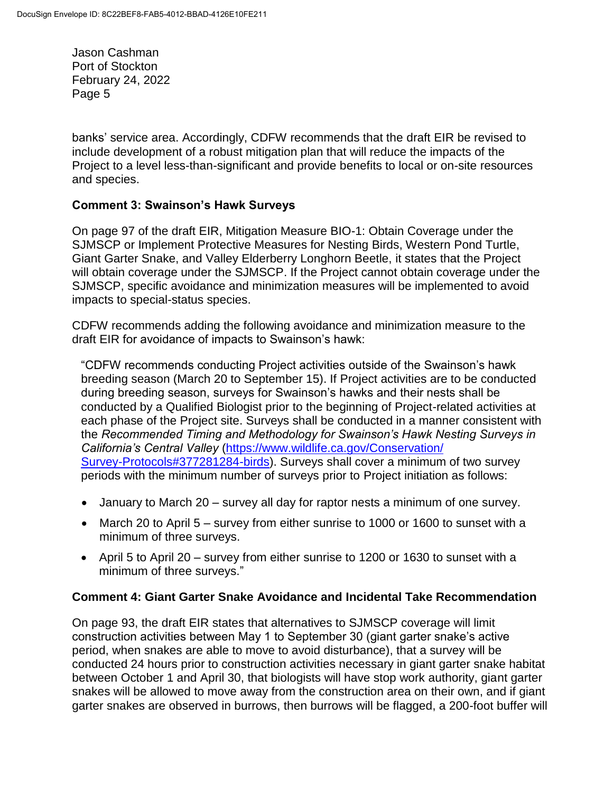banks' service area. Accordingly, CDFW recommends that the draft EIR be revised to include development of a robust mitigation plan that will reduce the impacts of the Project to a level less-than-significant and provide benefits to local or on-site resources and species.

#### **Comment 3: Swainson's Hawk Surveys**

On page 97 of the draft EIR, Mitigation Measure BIO-1: Obtain Coverage under the SJMSCP or Implement Protective Measures for Nesting Birds, Western Pond Turtle, Giant Garter Snake, and Valley Elderberry Longhorn Beetle, it states that the Project will obtain coverage under the SJMSCP. If the Project cannot obtain coverage under the SJMSCP, specific avoidance and minimization measures will be implemented to avoid impacts to special-status species.

CDFW recommends adding the following avoidance and minimization measure to the draft EIR for avoidance of impacts to Swainson's hawk:

"CDFW recommends conducting Project activities outside of the Swainson's hawk breeding season (March 20 to September 15). If Project activities are to be conducted during breeding season, surveys for Swainson's hawks and their nests shall be conducted by a Qualified Biologist prior to the beginning of Project-related activities at each phase of the Project site. Surveys shall be conducted in a manner consistent with the *Recommended Timing and Methodology for Swainson's Hawk Nesting Surveys in California's Central Valley* [\(https://www.wildlife.ca.gov/Conservation/](https://www.wildlife.ca.gov/Conservation/Survey-Protocols#377281284-birds) [Survey-Protocols#377281284-birds\)](https://www.wildlife.ca.gov/Conservation/Survey-Protocols#377281284-birds). Surveys shall cover a minimum of two survey periods with the minimum number of surveys prior to Project initiation as follows:

- January to March 20 survey all day for raptor nests a minimum of one survey.
- March 20 to April 5 survey from either sunrise to 1000 or 1600 to sunset with a minimum of three surveys.
- April 5 to April 20 survey from either sunrise to 1200 or 1630 to sunset with a minimum of three surveys."

#### **Comment 4: Giant Garter Snake Avoidance and Incidental Take Recommendation**

On page 93, the draft EIR states that alternatives to SJMSCP coverage will limit construction activities between May 1 to September 30 (giant garter snake's active period, when snakes are able to move to avoid disturbance), that a survey will be conducted 24 hours prior to construction activities necessary in giant garter snake habitat between October 1 and April 30, that biologists will have stop work authority, giant garter snakes will be allowed to move away from the construction area on their own, and if giant garter snakes are observed in burrows, then burrows will be flagged, a 200-foot buffer will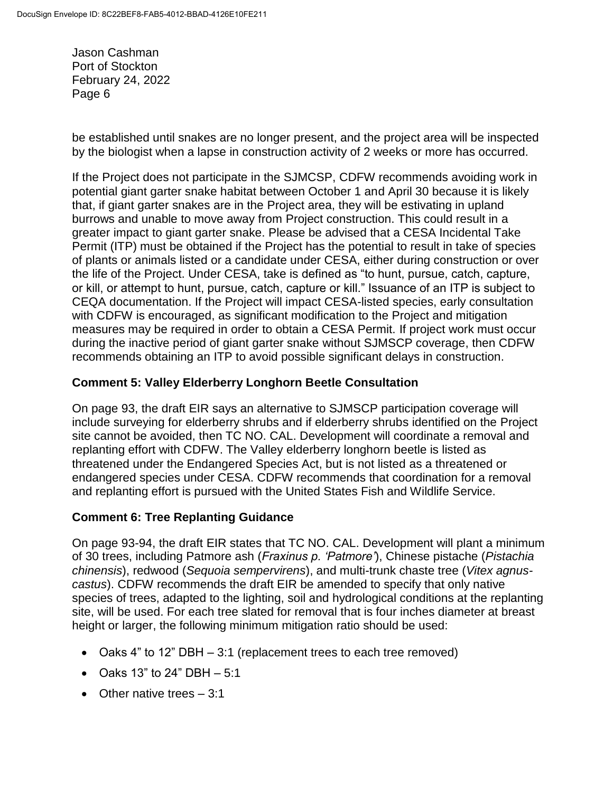be established until snakes are no longer present, and the project area will be inspected by the biologist when a lapse in construction activity of 2 weeks or more has occurred.

If the Project does not participate in the SJMCSP, CDFW recommends avoiding work in potential giant garter snake habitat between October 1 and April 30 because it is likely that, if giant garter snakes are in the Project area, they will be estivating in upland burrows and unable to move away from Project construction. This could result in a greater impact to giant garter snake. Please be advised that a CESA Incidental Take Permit (ITP) must be obtained if the Project has the potential to result in take of species of plants or animals listed or a candidate under CESA, either during construction or over the life of the Project. Under CESA, take is defined as "to hunt, pursue, catch, capture, or kill, or attempt to hunt, pursue, catch, capture or kill." Issuance of an ITP is subject to CEQA documentation. If the Project will impact CESA-listed species, early consultation with CDFW is encouraged, as significant modification to the Project and mitigation measures may be required in order to obtain a CESA Permit. If project work must occur during the inactive period of giant garter snake without SJMSCP coverage, then CDFW recommends obtaining an ITP to avoid possible significant delays in construction.

## **Comment 5: Valley Elderberry Longhorn Beetle Consultation**

On page 93, the draft EIR says an alternative to SJMSCP participation coverage will include surveying for elderberry shrubs and if elderberry shrubs identified on the Project site cannot be avoided, then TC NO. CAL. Development will coordinate a removal and replanting effort with CDFW. The Valley elderberry longhorn beetle is listed as threatened under the Endangered Species Act, but is not listed as a threatened or endangered species under CESA. CDFW recommends that coordination for a removal and replanting effort is pursued with the United States Fish and Wildlife Service.

## **Comment 6: Tree Replanting Guidance**

On page 93-94, the draft EIR states that TC NO. CAL. Development will plant a minimum of 30 trees, including Patmore ash (*Fraxinus p. 'Patmore'*), Chinese pistache (*Pistachia chinensis*), redwood (*Sequoia sempervirens*), and multi-trunk chaste tree (*Vitex agnuscastus*). CDFW recommends the draft EIR be amended to specify that only native species of trees, adapted to the lighting, soil and hydrological conditions at the replanting site, will be used. For each tree slated for removal that is four inches diameter at breast height or larger, the following minimum mitigation ratio should be used:

- Oaks 4" to 12" DBH 3:1 (replacement trees to each tree removed)
- Oaks 13" to 24" DBH  $-5:1$
- Other native trees  $-3:1$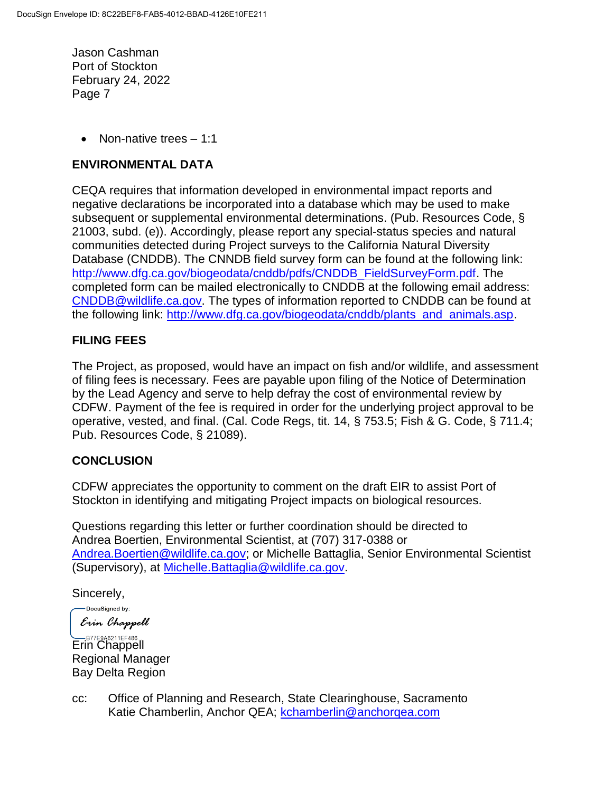Non-native trees – 1:1

# **ENVIRONMENTAL DATA**

CEQA requires that information developed in environmental impact reports and negative declarations be incorporated into a database which may be used to make subsequent or supplemental environmental determinations. (Pub. Resources Code, § 21003, subd. (e)). Accordingly, please report any special-status species and natural communities detected during Project surveys to the California Natural Diversity Database (CNDDB). The CNNDB field survey form can be found at the following link: [http://www.dfg.ca.gov/biogeodata/cnddb/pdfs/CNDDB\\_FieldSurveyForm.pdf.](http://www.dfg.ca.gov/biogeodata/cnddb/pdfs/CNDDB_FieldSurveyForm.pdf) The completed form can be mailed electronically to CNDDB at the following email address: [CNDDB@wildlife.ca.gov.](mailto:cnddb@dfg.ca.gov) The types of information reported to CNDDB can be found at the following link: [http://www.dfg.ca.gov/biogeodata/cnddb/plants\\_and\\_animals.asp.](http://www.dfg.ca.gov/biogeodata/cnddb/plants_and_animals.asp)

# **FILING FEES**

The Project, as proposed, would have an impact on fish and/or wildlife, and assessment of filing fees is necessary. Fees are payable upon filing of the Notice of Determination by the Lead Agency and serve to help defray the cost of environmental review by CDFW. Payment of the fee is required in order for the underlying project approval to be operative, vested, and final. (Cal. Code Regs, tit. 14, § 753.5; Fish & G. Code, § 711.4; Pub. Resources Code, § 21089).

## **CONCLUSION**

CDFW appreciates the opportunity to comment on the draft EIR to assist Port of Stockton in identifying and mitigating Project impacts on biological resources.

Questions regarding this letter or further coordination should be directed to Andrea Boertien, Environmental Scientist, at (707) 317-0388 or [Andrea.Boertien@wildlife.ca.gov;](mailto:Andrea.Boertien@wildlife.ca.gov) or Michelle Battaglia, Senior Environmental Scientist (Supervisory), at [Michelle.Battaglia@wildlife.ca.gov.](mailto:Michelle.Battaglia@wildlife.ca.gov)

Sincerely,

-DocuSigned by: Erin Chappell

B77E9A6211EF486 Regional Manager Bay Delta Region

cc: Office of Planning and Research, State Clearinghouse, Sacramento Katie Chamberlin, Anchor QEA; [kchamberlin@anchorqea.com](mailto:kchamberlin@anchorqea.com)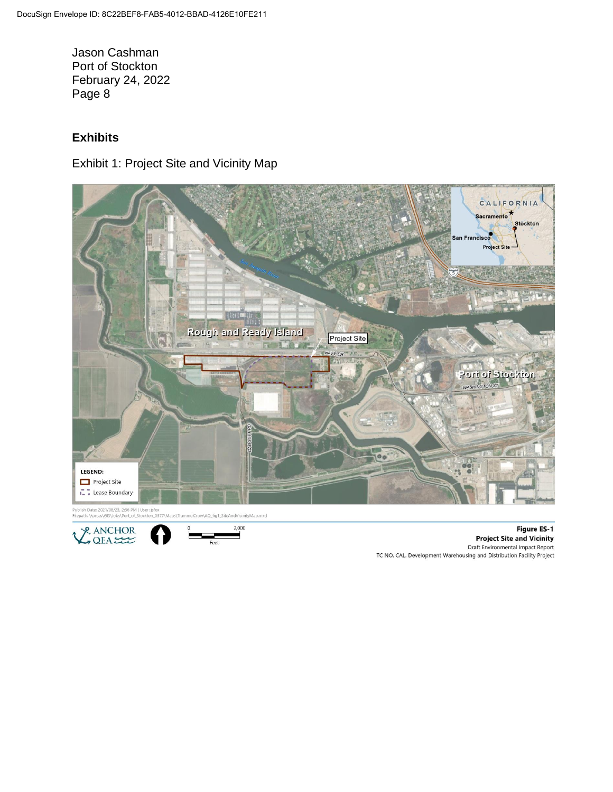# **Exhibits**

Exhibit 1: Project Site and Vicinity Map



ish Date: 2021/08/23, 2:36 PM | User: jsfox<br>ath: \\orcas\GIS\Jobs\Port\_of\_Stockton\_0377





**Figure ES-1 Project Site and Vicinity** Draft Environmental Impact Report TC NO. CAL. Development Warehousing and Distribution Facility Project